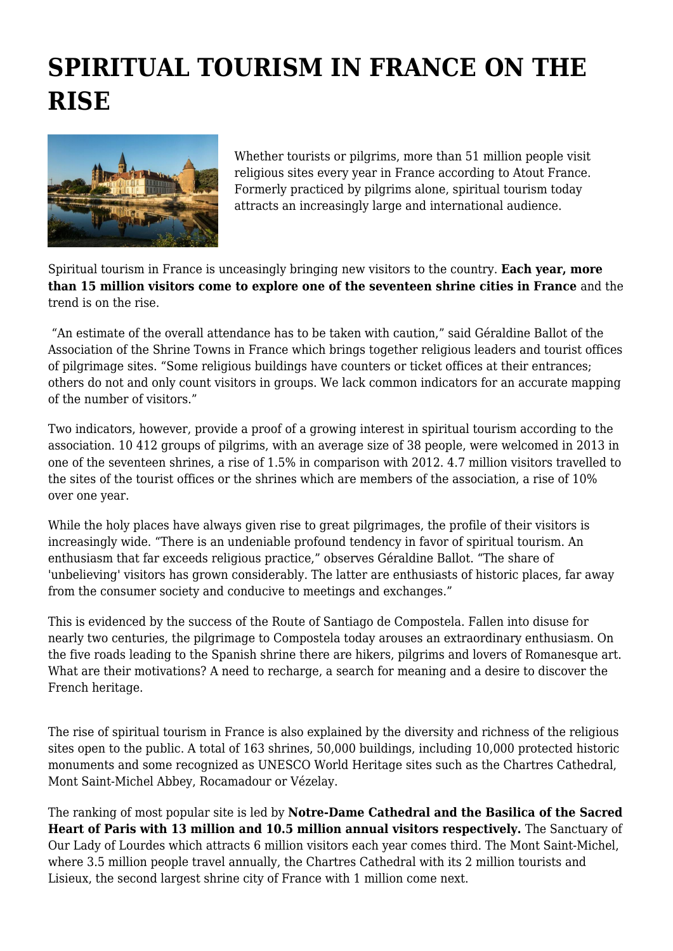## **SPIRITUAL TOURISM IN FRANCE ON THE RISE**



Whether tourists or pilgrims, more than 51 million people visit religious sites every year in France according to Atout France. Formerly practiced by pilgrims alone, spiritual tourism today attracts an increasingly large and international audience.

Spiritual tourism in France is unceasingly bringing new visitors to the country. **Each year, more than 15 million visitors come to explore one of the seventeen shrine cities in France** and the trend is on the rise.

 "An estimate of the overall attendance has to be taken with caution," said Géraldine Ballot of the Association of the Shrine Towns in France which brings together religious leaders and tourist offices of pilgrimage sites. "Some religious buildings have counters or ticket offices at their entrances; others do not and only count visitors in groups. We lack common indicators for an accurate mapping of the number of visitors."

Two indicators, however, provide a proof of a growing interest in spiritual tourism according to the association. 10 412 groups of pilgrims, with an average size of 38 people, were welcomed in 2013 in one of the seventeen shrines, a rise of 1.5% in comparison with 2012. 4.7 million visitors travelled to the sites of the tourist offices or the shrines which are members of the association, a rise of 10% over one year.

While the holy places have always given rise to great pilgrimages, the profile of their visitors is increasingly wide. "There is an undeniable profound tendency in favor of spiritual tourism. An enthusiasm that far exceeds religious practice," observes Géraldine Ballot. "The share of 'unbelieving' visitors has grown considerably. The latter are enthusiasts of historic places, far away from the consumer society and conducive to meetings and exchanges."

This is evidenced by the success of the Route of Santiago de Compostela. Fallen into disuse for nearly two centuries, the pilgrimage to Compostela today arouses an extraordinary enthusiasm. On the five roads leading to the Spanish shrine there are hikers, pilgrims and lovers of Romanesque art. What are their motivations? A need to recharge, a search for meaning and a desire to discover the French heritage.

The rise of spiritual tourism in France is also explained by the diversity and richness of the religious sites open to the public. A total of 163 shrines, 50,000 buildings, including 10,000 protected historic monuments and some recognized as UNESCO World Heritage sites such as the Chartres Cathedral, Mont Saint-Michel Abbey, Rocamadour or Vézelay.

The ranking of most popular site is led by **Notre-Dame Cathedral and the Basilica of the Sacred Heart of Paris with 13 million and 10.5 million annual visitors respectively.** The Sanctuary of Our Lady of Lourdes which attracts 6 million visitors each year comes third. The Mont Saint-Michel, where 3.5 million people travel annually, the Chartres Cathedral with its 2 million tourists and Lisieux, the second largest shrine city of France with 1 million come next.